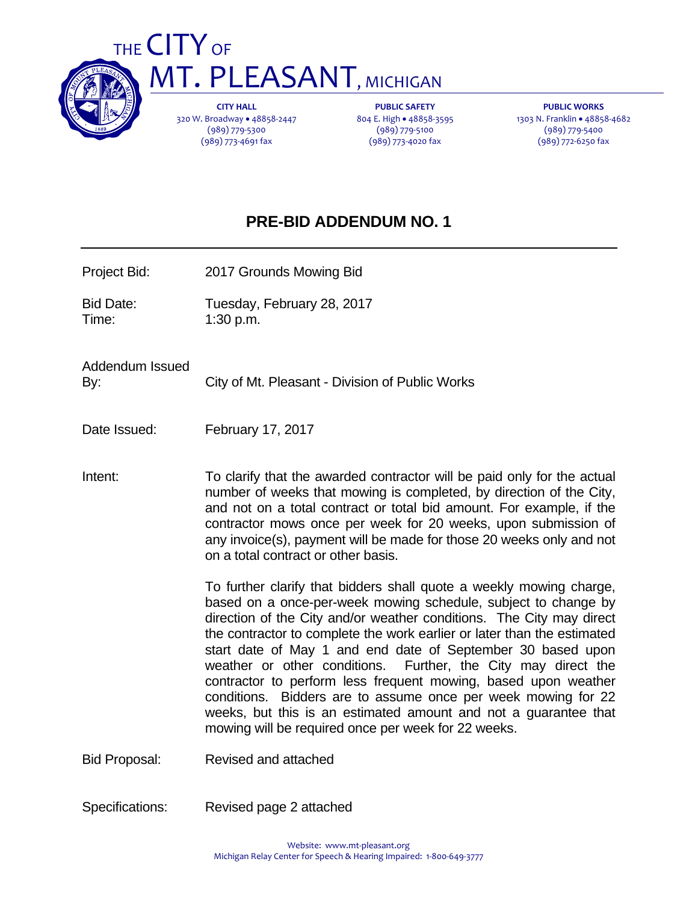

# THE CITY OF **MT. PLEASANT, MICHIGAN**

**CITY HALL** 320 W. Broadway • 48858-2447 (989) 779‐5300 (989) 773‐4691 fax

**PUBLIC SAFETY** 804 E. High · 48858-3595 (989) 779‐5100 (989) 773‐4020 fax

**PUBLIC WORKS** 1303 N. Franklin · 48858-4682 (989) 779‐5400 (989) 772‐6250 fax

## **PRE-BID ADDENDUM NO. 1**

- Project Bid: 2017 Grounds Mowing Bid
- Bid Date: Tuesday, February 28, 2017 Time: 1:30 p.m.

Addendum Issued By: City of Mt. Pleasant - Division of Public Works

Date Issued: February 17, 2017

Intent: To clarify that the awarded contractor will be paid only for the actual number of weeks that mowing is completed, by direction of the City, and not on a total contract or total bid amount. For example, if the contractor mows once per week for 20 weeks, upon submission of any invoice(s), payment will be made for those 20 weeks only and not on a total contract or other basis.

> To further clarify that bidders shall quote a weekly mowing charge, based on a once-per-week mowing schedule, subject to change by direction of the City and/or weather conditions. The City may direct the contractor to complete the work earlier or later than the estimated start date of May 1 and end date of September 30 based upon weather or other conditions. Further, the City may direct the contractor to perform less frequent mowing, based upon weather conditions. Bidders are to assume once per week mowing for 22 weeks, but this is an estimated amount and not a guarantee that mowing will be required once per week for 22 weeks.

Bid Proposal: Revised and attached

Specifications: Revised page 2 attached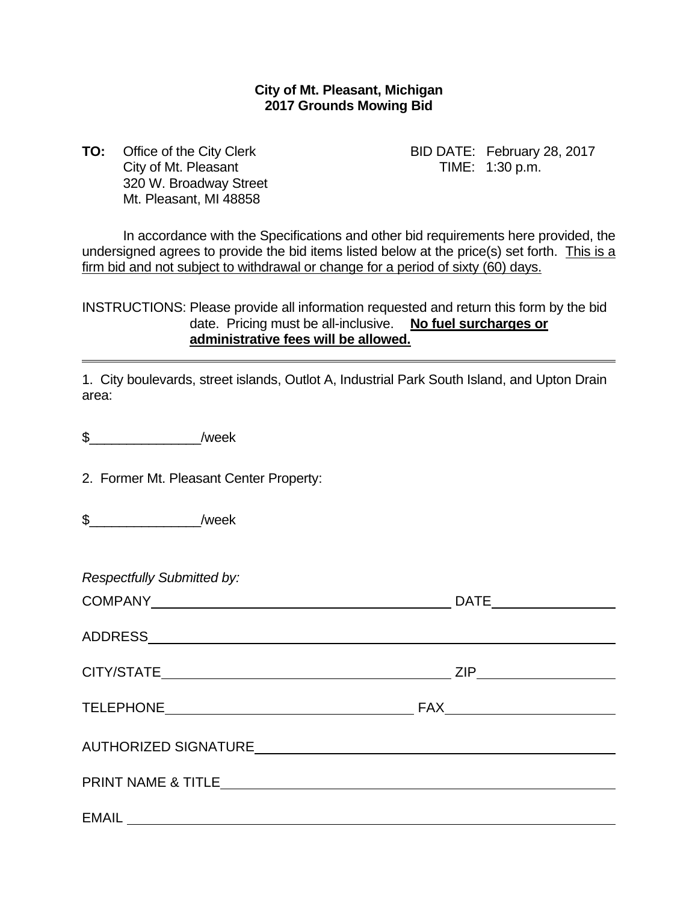### **City of Mt. Pleasant, Michigan 2017 Grounds Mowing Bid**

**TO:** Office of the City Clerk BID DATE: February 28, 2017 City of Mt. Pleasant TIME: 1:30 p.m. 320 W. Broadway Street Mt. Pleasant, MI 48858

 In accordance with the Specifications and other bid requirements here provided, the undersigned agrees to provide the bid items listed below at the price(s) set forth. This is a firm bid and not subject to withdrawal or change for a period of sixty (60) days.

INSTRUCTIONS: Please provide all information requested and return this form by the bid date. Pricing must be all-inclusive. **No fuel surcharges or administrative fees will be allowed.**

1. City boulevards, street islands, Outlot A, Industrial Park South Island, and Upton Drain area:

\$\_\_\_\_\_\_\_\_\_\_\_\_\_\_\_/week

2. Former Mt. Pleasant Center Property:

 $\frac{1}{2}$  /week

*Respectfully Submitted by:*